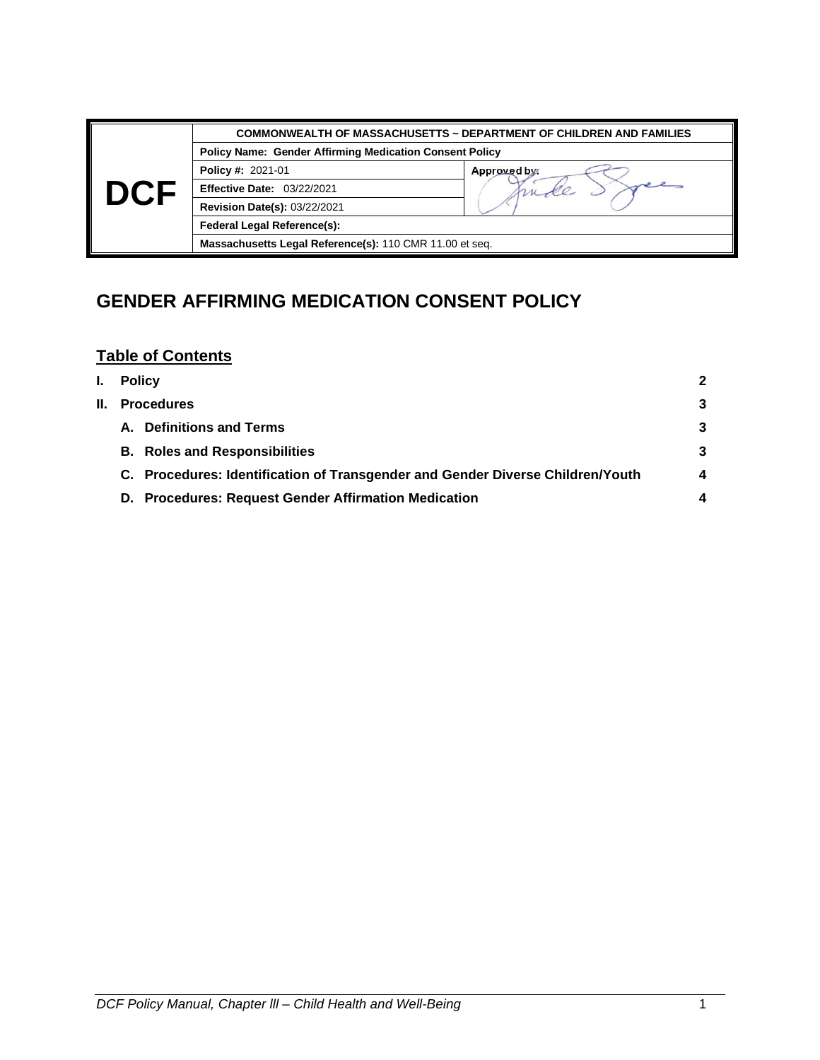|  | <b>COMMONWEALTH OF MASSACHUSETTS ~ DEPARTMENT OF CHILDREN AND FAMILIES</b> |              |  |  |  |
|--|----------------------------------------------------------------------------|--------------|--|--|--|
|  | <b>Policy Name: Gender Affirming Medication Consent Policy</b>             |              |  |  |  |
|  | <b>Policy #: 2021-01</b>                                                   | Approved by: |  |  |  |
|  | <b>Effective Date: 03/22/2021</b>                                          |              |  |  |  |
|  | <b>Revision Date(s): 03/22/2021</b>                                        |              |  |  |  |
|  | <b>Federal Legal Reference(s):</b>                                         |              |  |  |  |
|  | Massachusetts Legal Reference(s): 110 CMR 11.00 et seq.                    |              |  |  |  |

# **GENDER AFFIRMING MEDICATION CONSENT POLICY**

## **Table of Contents**

| I.  | <b>Policy</b>                                                                  | 2 |  |  |
|-----|--------------------------------------------------------------------------------|---|--|--|
| II. | <b>Procedures</b>                                                              |   |  |  |
|     | <b>Definitions and Terms</b><br>А.                                             | 3 |  |  |
|     | <b>B.</b> Roles and Responsibilities                                           | 3 |  |  |
|     | C. Procedures: Identification of Transgender and Gender Diverse Children/Youth | 4 |  |  |
|     | D. Procedures: Request Gender Affirmation Medication                           |   |  |  |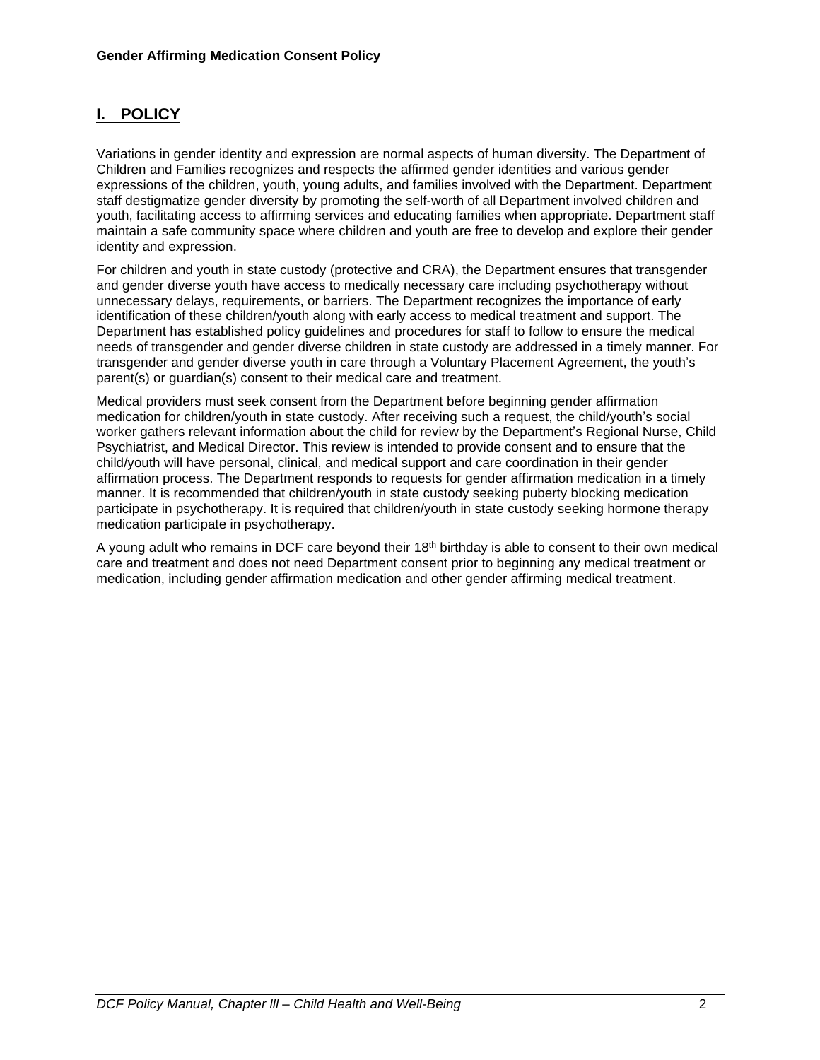### **I. POLICY**

Variations in gender identity and expression are normal aspects of human diversity. The Department of Children and Families recognizes and respects the affirmed gender identities and various gender expressions of the children, youth, young adults, and families involved with the Department. Department staff destigmatize gender diversity by promoting the self-worth of all Department involved children and youth, facilitating access to affirming services and educating families when appropriate. Department staff maintain a safe community space where children and youth are free to develop and explore their gender identity and expression.

For children and youth in state custody (protective and CRA), the Department ensures that transgender and gender diverse youth have access to medically necessary care including psychotherapy without unnecessary delays, requirements, or barriers. The Department recognizes the importance of early identification of these children/youth along with early access to medical treatment and support. The Department has established policy guidelines and procedures for staff to follow to ensure the medical needs of transgender and gender diverse children in state custody are addressed in a timely manner. For transgender and gender diverse youth in care through a Voluntary Placement Agreement, the youth's parent(s) or guardian(s) consent to their medical care and treatment.

Medical providers must seek consent from the Department before beginning gender affirmation medication for children/youth in state custody. After receiving such a request, the child/youth's social worker gathers relevant information about the child for review by the Department's Regional Nurse, Child Psychiatrist, and Medical Director. This review is intended to provide consent and to ensure that the child/youth will have personal, clinical, and medical support and care coordination in their gender affirmation process. The Department responds to requests for gender affirmation medication in a timely manner. It is recommended that children/youth in state custody seeking puberty blocking medication participate in psychotherapy. It is required that children/youth in state custody seeking hormone therapy medication participate in psychotherapy.

A young adult who remains in DCF care beyond their 18th birthday is able to consent to their own medical care and treatment and does not need Department consent prior to beginning any medical treatment or medication, including gender affirmation medication and other gender affirming medical treatment.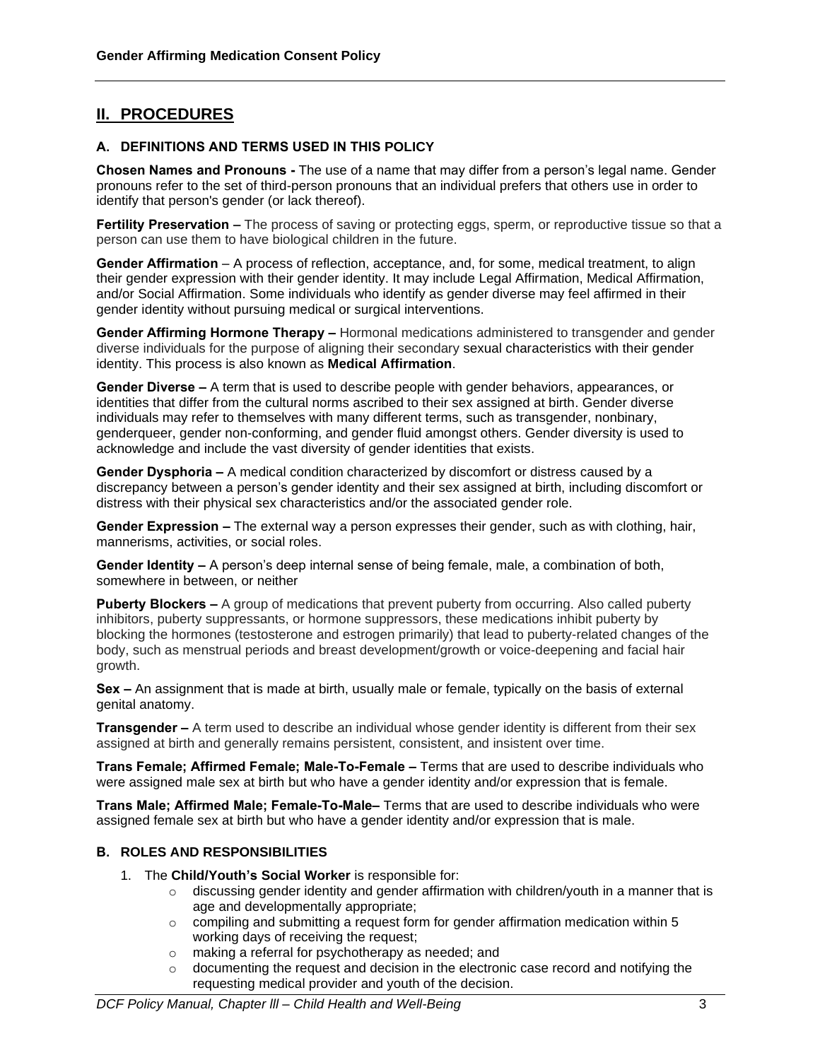## **II. PROCEDURES**

### **A. DEFINITIONS AND TERMS USED IN THIS POLICY**

**Chosen Names and Pronouns -** The use of a name that may differ from a person's legal name. Gender pronouns refer to the set of third-person pronouns that an individual prefers that others use in order to identify that person's gender (or lack thereof).

**Fertility Preservation –** The process of saving or protecting eggs, sperm, or reproductive tissue so that a person can use them to have biological children in the future.

**Gender Affirmation** – A process of reflection, acceptance, and, for some, medical treatment, to align their gender expression with their gender identity. It may include Legal Affirmation, Medical Affirmation, and/or Social Affirmation. Some individuals who identify as gender diverse may feel affirmed in their gender identity without pursuing medical or surgical interventions.

**Gender Affirming Hormone Therapy –** Hormonal medications administered to transgender and gender diverse individuals for the purpose of aligning their secondary [sexual characteristics](https://en.wikipedia.org/wiki/Secondary_sexual_characteristic) with their [gender](https://en.wikipedia.org/wiki/Gender_identity)  [identity.](https://en.wikipedia.org/wiki/Gender_identity) This process is also known as **Medical Affirmation**.

**Gender Diverse –** A term that is used to describe people with gender behaviors, appearances, or identities that differ from the cultural norms ascribed to their sex assigned at birth. Gender diverse individuals may refer to themselves with many different terms, such as transgender, nonbinary, genderqueer, gender non-conforming, and gender fluid amongst others. Gender diversity is used to acknowledge and include the vast diversity of gender identities that exists.

**Gender Dysphoria –** A medical condition characterized by discomfort or distress caused by a discrepancy between a person's gender identity and their sex assigned at birth, including discomfort or distress with their physical sex characteristics and/or the associated gender role.

**Gender Expression –** The external way a person expresses their gender, such as with clothing, hair, mannerisms, activities, or social roles.

**Gender Identity –** A person's deep internal sense of being female, male, a combination of both, somewhere in between, or neither

**Puberty Blockers –** A group of medications that prevent puberty from occurring. Also called puberty inhibitors, puberty suppressants, or hormone suppressors, these medications inhibit puberty by blocking the hormones (testosterone and estrogen primarily) that lead to puberty-related changes of the body, such as menstrual periods and breast development/growth or voice-deepening and facial hair growth.

**Sex –** An assignment that is made at birth, usually male or female, typically on the basis of external genital anatomy.

**Transgender –** A term used to describe an individual whose gender identity is different from their sex assigned at birth and generally remains persistent, consistent, and insistent over time.

**Trans Female; Affirmed Female; Male-To-Female –** Terms that are used to describe individuals who were assigned male sex at birth but who have a gender identity and/or expression that is female.

**Trans Male; Affirmed Male; Female-To-Male–** Terms that are used to describe individuals who were assigned female sex at birth but who have a gender identity and/or expression that is male.

#### **B. ROLES AND RESPONSIBILITIES**

- 1. The **Child/Youth's Social Worker** is responsible for:
	- $\circ$  discussing gender identity and gender affirmation with children/youth in a manner that is age and developmentally appropriate;
	- $\circ$  compiling and submitting a request form for gender affirmation medication within 5 working days of receiving the request;
	- o making a referral for psychotherapy as needed; and
	- $\circ$  documenting the request and decision in the electronic case record and notifying the requesting medical provider and youth of the decision.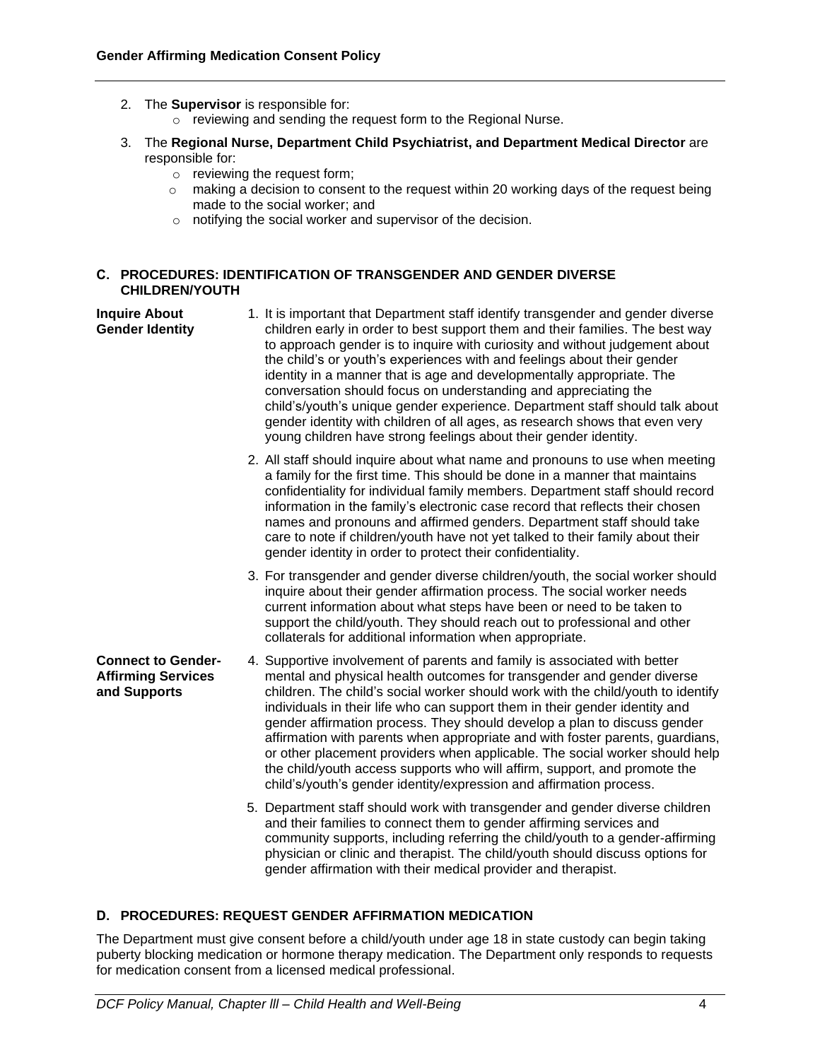- 2. The **Supervisor** is responsible for:
	- o reviewing and sending the request form to the Regional Nurse.
- 3. The **Regional Nurse, Department Child Psychiatrist, and Department Medical Director** are responsible for:
	- o reviewing the request form;
	- $\circ$  making a decision to consent to the request within 20 working days of the request being made to the social worker; and
	- o notifying the social worker and supervisor of the decision.

#### **C. PROCEDURES: IDENTIFICATION OF TRANSGENDER AND GENDER DIVERSE CHILDREN/YOUTH**

- **Inquire About Gender Identity** 1. It is important that Department staff identify transgender and gender diverse children early in order to best support them and their families. The best way to approach gender is to inquire with curiosity and without judgement about the child's or youth's experiences with and feelings about their gender identity in a manner that is age and developmentally appropriate. The conversation should focus on understanding and appreciating the child's/youth's unique gender experience. Department staff should talk about gender identity with children of all ages, as research shows that even very young children have strong feelings about their gender identity. 2. All staff should inquire about what name and pronouns to use when meeting
	- a family for the first time. This should be done in a manner that maintains confidentiality for individual family members. Department staff should record information in the family's electronic case record that reflects their chosen names and pronouns and affirmed genders. Department staff should take care to note if children/youth have not yet talked to their family about their gender identity in order to protect their confidentiality.
	- 3. For transgender and gender diverse children/youth, the social worker should inquire about their gender affirmation process. The social worker needs current information about what steps have been or need to be taken to support the child/youth. They should reach out to professional and other collaterals for additional information when appropriate.
- **Connect to Gender-Affirming Services and Supports** 4. Supportive involvement of parents and family is associated with better mental and physical health outcomes for transgender and gender diverse children. The child's social worker should work with the child/youth to identify individuals in their life who can support them in their gender identity and gender affirmation process. They should develop a plan to discuss gender affirmation with parents when appropriate and with foster parents, guardians, or other placement providers when applicable. The social worker should help the child/youth access supports who will affirm, support, and promote the child's/youth's gender identity/expression and affirmation process.
	- 5. Department staff should work with transgender and gender diverse children and their families to connect them to gender affirming services and community supports, including referring the child/youth to a gender-affirming physician or clinic and therapist. The child/youth should discuss options for gender affirmation with their medical provider and therapist.

### **D. PROCEDURES: REQUEST GENDER AFFIRMATION MEDICATION**

The Department must give consent before a child/youth under age 18 in state custody can begin taking puberty blocking medication or hormone therapy medication. The Department only responds to requests for medication consent from a licensed medical professional.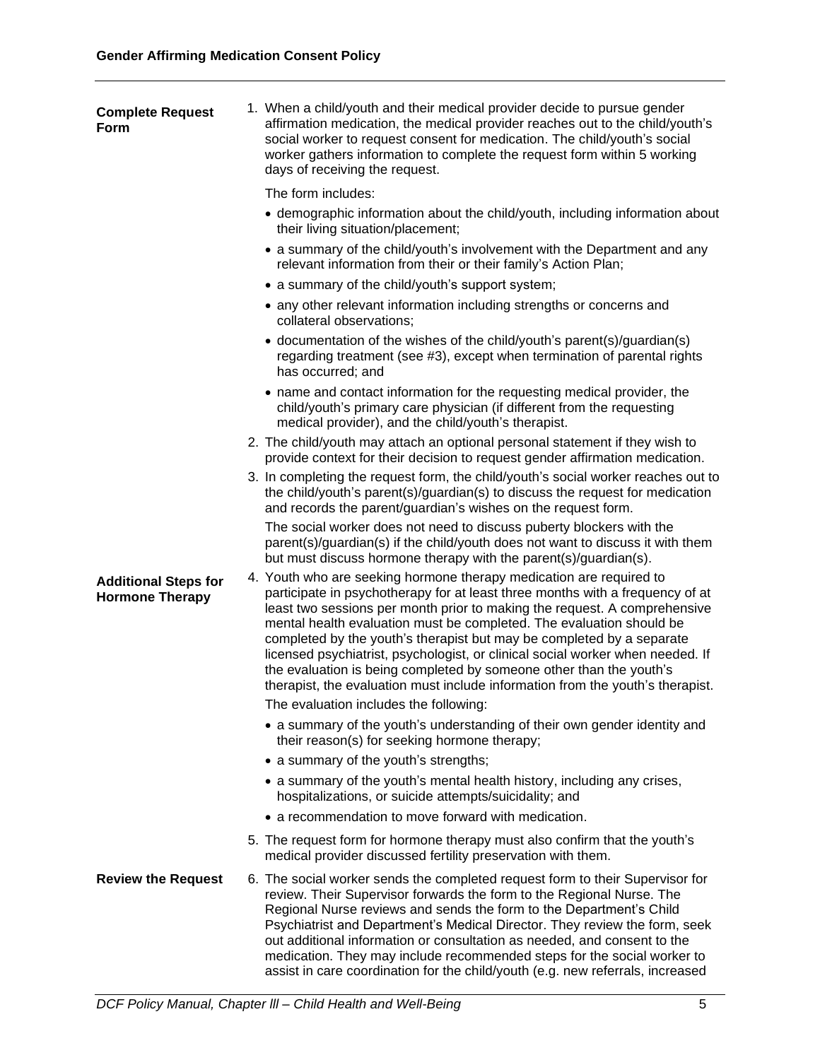| <b>Complete Request</b><br>Form                       | 1. When a child/youth and their medical provider decide to pursue gender<br>affirmation medication, the medical provider reaches out to the child/youth's<br>social worker to request consent for medication. The child/youth's social<br>worker gathers information to complete the request form within 5 working<br>days of receiving the request.                                                                                                                                                                                                                                                                          |
|-------------------------------------------------------|-------------------------------------------------------------------------------------------------------------------------------------------------------------------------------------------------------------------------------------------------------------------------------------------------------------------------------------------------------------------------------------------------------------------------------------------------------------------------------------------------------------------------------------------------------------------------------------------------------------------------------|
|                                                       | The form includes:                                                                                                                                                                                                                                                                                                                                                                                                                                                                                                                                                                                                            |
|                                                       | • demographic information about the child/youth, including information about<br>their living situation/placement;                                                                                                                                                                                                                                                                                                                                                                                                                                                                                                             |
|                                                       | • a summary of the child/youth's involvement with the Department and any<br>relevant information from their or their family's Action Plan;                                                                                                                                                                                                                                                                                                                                                                                                                                                                                    |
|                                                       | • a summary of the child/youth's support system;                                                                                                                                                                                                                                                                                                                                                                                                                                                                                                                                                                              |
|                                                       | • any other relevant information including strengths or concerns and<br>collateral observations;                                                                                                                                                                                                                                                                                                                                                                                                                                                                                                                              |
|                                                       | • documentation of the wishes of the child/youth's parent(s)/guardian(s)<br>regarding treatment (see #3), except when termination of parental rights<br>has occurred; and                                                                                                                                                                                                                                                                                                                                                                                                                                                     |
|                                                       | • name and contact information for the requesting medical provider, the<br>child/youth's primary care physician (if different from the requesting<br>medical provider), and the child/youth's therapist.                                                                                                                                                                                                                                                                                                                                                                                                                      |
|                                                       | 2. The child/youth may attach an optional personal statement if they wish to<br>provide context for their decision to request gender affirmation medication.                                                                                                                                                                                                                                                                                                                                                                                                                                                                  |
|                                                       | 3. In completing the request form, the child/youth's social worker reaches out to<br>the child/youth's parent(s)/guardian(s) to discuss the request for medication<br>and records the parent/guardian's wishes on the request form.                                                                                                                                                                                                                                                                                                                                                                                           |
|                                                       | The social worker does not need to discuss puberty blockers with the<br>parent(s)/guardian(s) if the child/youth does not want to discuss it with them<br>but must discuss hormone therapy with the parent(s)/guardian(s).                                                                                                                                                                                                                                                                                                                                                                                                    |
| <b>Additional Steps for</b><br><b>Hormone Therapy</b> | 4. Youth who are seeking hormone therapy medication are required to<br>participate in psychotherapy for at least three months with a frequency of at<br>least two sessions per month prior to making the request. A comprehensive<br>mental health evaluation must be completed. The evaluation should be<br>completed by the youth's therapist but may be completed by a separate<br>licensed psychiatrist, psychologist, or clinical social worker when needed. If<br>the evaluation is being completed by someone other than the youth's<br>therapist, the evaluation must include information from the youth's therapist. |
|                                                       | The evaluation includes the following:                                                                                                                                                                                                                                                                                                                                                                                                                                                                                                                                                                                        |
|                                                       | • a summary of the youth's understanding of their own gender identity and<br>their reason(s) for seeking hormone therapy;                                                                                                                                                                                                                                                                                                                                                                                                                                                                                                     |
|                                                       | • a summary of the youth's strengths;                                                                                                                                                                                                                                                                                                                                                                                                                                                                                                                                                                                         |
|                                                       | • a summary of the youth's mental health history, including any crises,<br>hospitalizations, or suicide attempts/suicidality; and                                                                                                                                                                                                                                                                                                                                                                                                                                                                                             |
|                                                       | • a recommendation to move forward with medication.                                                                                                                                                                                                                                                                                                                                                                                                                                                                                                                                                                           |
|                                                       | 5. The request form for hormone therapy must also confirm that the youth's<br>medical provider discussed fertility preservation with them.                                                                                                                                                                                                                                                                                                                                                                                                                                                                                    |
| <b>Review the Request</b>                             | 6. The social worker sends the completed request form to their Supervisor for<br>review. Their Supervisor forwards the form to the Regional Nurse. The<br>Regional Nurse reviews and sends the form to the Department's Child<br>Psychiatrist and Department's Medical Director. They review the form, seek<br>out additional information or consultation as needed, and consent to the<br>medication. They may include recommended steps for the social worker to<br>assist in care coordination for the child/youth (e.g. new referrals, increased                                                                          |